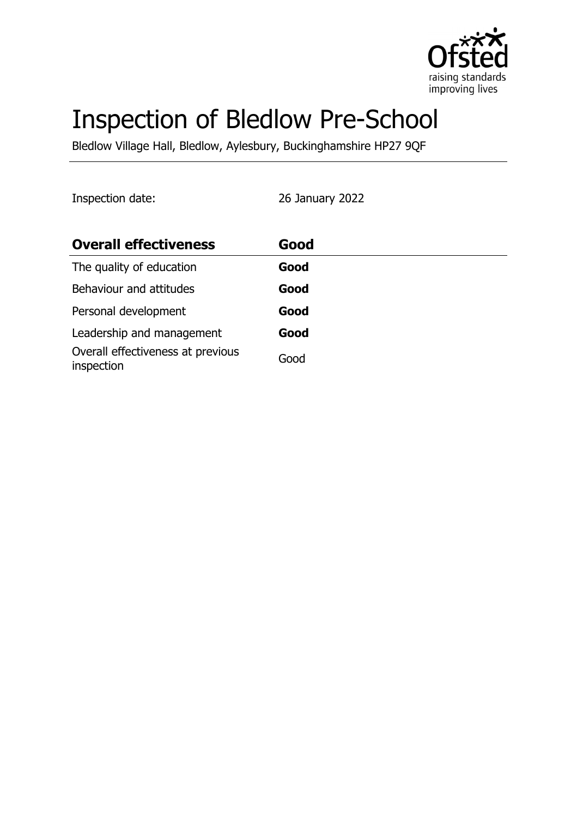

# Inspection of Bledlow Pre-School

Bledlow Village Hall, Bledlow, Aylesbury, Buckinghamshire HP27 9QF

Inspection date: 26 January 2022

| <b>Overall effectiveness</b>                    | Good |
|-------------------------------------------------|------|
| The quality of education                        | Good |
| Behaviour and attitudes                         | Good |
| Personal development                            | Good |
| Leadership and management                       | Good |
| Overall effectiveness at previous<br>inspection | Good |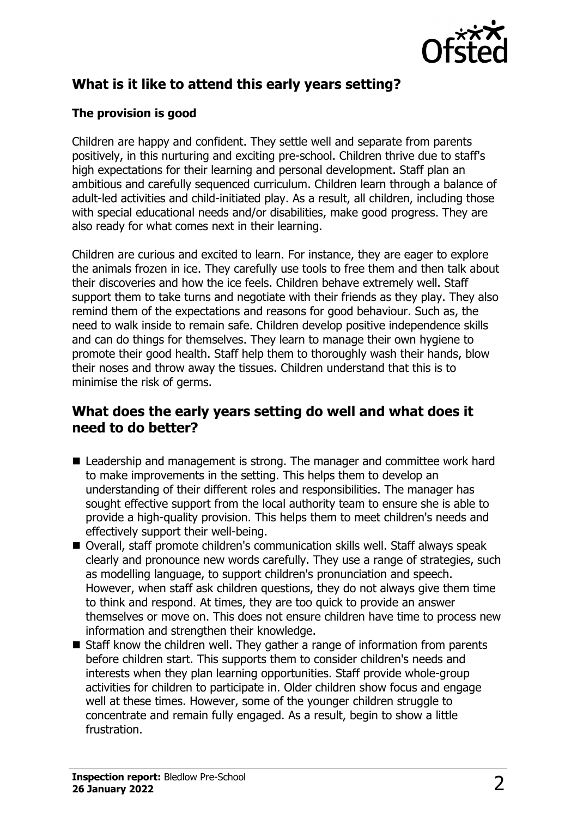

# **What is it like to attend this early years setting?**

#### **The provision is good**

Children are happy and confident. They settle well and separate from parents positively, in this nurturing and exciting pre-school. Children thrive due to staff's high expectations for their learning and personal development. Staff plan an ambitious and carefully sequenced curriculum. Children learn through a balance of adult-led activities and child-initiated play. As a result, all children, including those with special educational needs and/or disabilities, make good progress. They are also ready for what comes next in their learning.

Children are curious and excited to learn. For instance, they are eager to explore the animals frozen in ice. They carefully use tools to free them and then talk about their discoveries and how the ice feels. Children behave extremely well. Staff support them to take turns and negotiate with their friends as they play. They also remind them of the expectations and reasons for good behaviour. Such as, the need to walk inside to remain safe. Children develop positive independence skills and can do things for themselves. They learn to manage their own hygiene to promote their good health. Staff help them to thoroughly wash their hands, blow their noses and throw away the tissues. Children understand that this is to minimise the risk of germs.

#### **What does the early years setting do well and what does it need to do better?**

- $\blacksquare$  Leadership and management is strong. The manager and committee work hard to make improvements in the setting. This helps them to develop an understanding of their different roles and responsibilities. The manager has sought effective support from the local authority team to ensure she is able to provide a high-quality provision. This helps them to meet children's needs and effectively support their well-being.
- Overall, staff promote children's communication skills well. Staff always speak clearly and pronounce new words carefully. They use a range of strategies, such as modelling language, to support children's pronunciation and speech. However, when staff ask children questions, they do not always give them time to think and respond. At times, they are too quick to provide an answer themselves or move on. This does not ensure children have time to process new information and strengthen their knowledge.
- $\blacksquare$  Staff know the children well. They gather a range of information from parents before children start. This supports them to consider children's needs and interests when they plan learning opportunities. Staff provide whole-group activities for children to participate in. Older children show focus and engage well at these times. However, some of the younger children struggle to concentrate and remain fully engaged. As a result, begin to show a little frustration.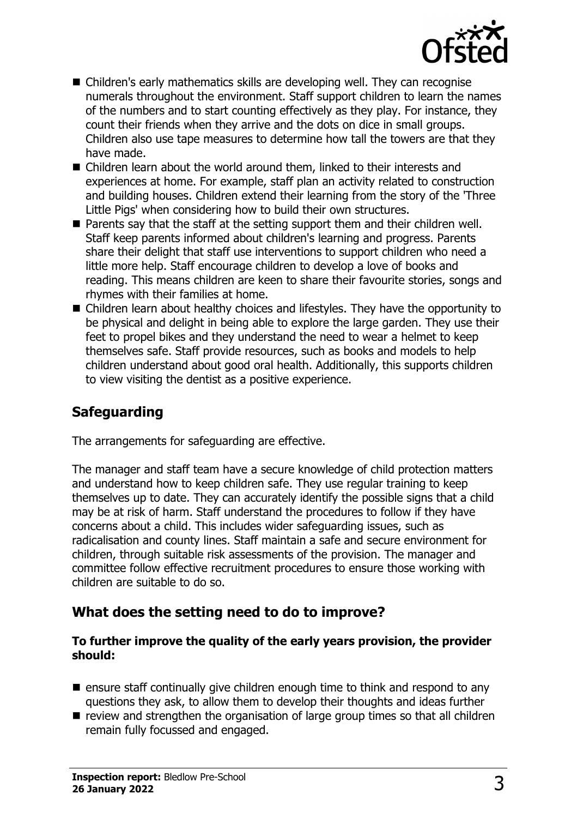

- $\blacksquare$  Children's early mathematics skills are developing well. They can recognise numerals throughout the environment. Staff support children to learn the names of the numbers and to start counting effectively as they play. For instance, they count their friends when they arrive and the dots on dice in small groups. Children also use tape measures to determine how tall the towers are that they have made.
- $\blacksquare$  Children learn about the world around them, linked to their interests and experiences at home. For example, staff plan an activity related to construction and building houses. Children extend their learning from the story of the 'Three Little Pigs' when considering how to build their own structures.
- $\blacksquare$  Parents say that the staff at the setting support them and their children well. Staff keep parents informed about children's learning and progress. Parents share their delight that staff use interventions to support children who need a little more help. Staff encourage children to develop a love of books and reading. This means children are keen to share their favourite stories, songs and rhymes with their families at home.
- Children learn about healthy choices and lifestyles. They have the opportunity to be physical and delight in being able to explore the large garden. They use their feet to propel bikes and they understand the need to wear a helmet to keep themselves safe. Staff provide resources, such as books and models to help children understand about good oral health. Additionally, this supports children to view visiting the dentist as a positive experience.

# **Safeguarding**

The arrangements for safeguarding are effective.

The manager and staff team have a secure knowledge of child protection matters and understand how to keep children safe. They use regular training to keep themselves up to date. They can accurately identify the possible signs that a child may be at risk of harm. Staff understand the procedures to follow if they have concerns about a child. This includes wider safeguarding issues, such as radicalisation and county lines. Staff maintain a safe and secure environment for children, through suitable risk assessments of the provision. The manager and committee follow effective recruitment procedures to ensure those working with children are suitable to do so.

### **What does the setting need to do to improve?**

#### **To further improve the quality of the early years provision, the provider should:**

- $\blacksquare$  ensure staff continually give children enough time to think and respond to any questions they ask, to allow them to develop their thoughts and ideas further
- $\blacksquare$  review and strengthen the organisation of large group times so that all children remain fully focussed and engaged.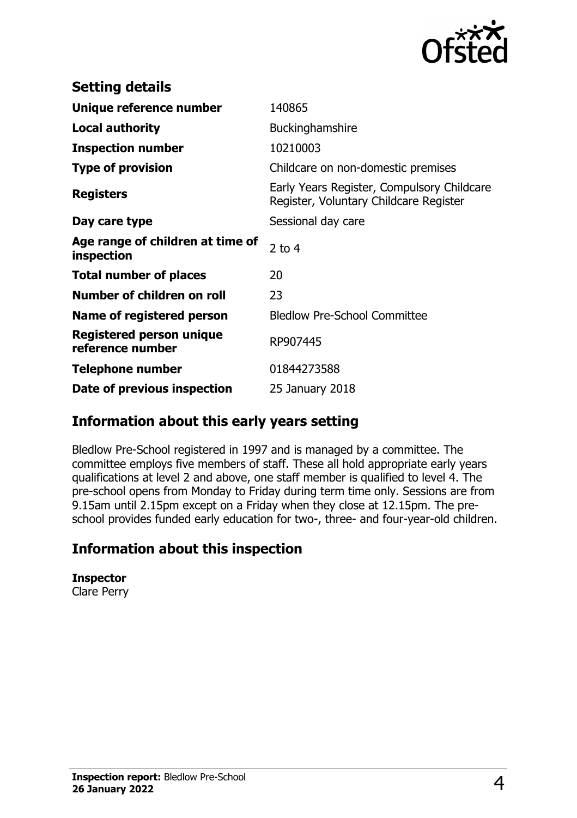

| <b>Setting details</b>                         |                                                                                      |
|------------------------------------------------|--------------------------------------------------------------------------------------|
| Unique reference number                        | 140865                                                                               |
| <b>Local authority</b>                         | Buckinghamshire                                                                      |
| <b>Inspection number</b>                       | 10210003                                                                             |
| <b>Type of provision</b>                       | Childcare on non-domestic premises                                                   |
| <b>Registers</b>                               | Early Years Register, Compulsory Childcare<br>Register, Voluntary Childcare Register |
| Day care type                                  | Sessional day care                                                                   |
| Age range of children at time of<br>inspection | 2 to $4$                                                                             |
| <b>Total number of places</b>                  | 20                                                                                   |
| Number of children on roll                     | 23                                                                                   |
| Name of registered person                      | <b>Bledlow Pre-School Committee</b>                                                  |
| Registered person unique<br>reference number   | RP907445                                                                             |
| <b>Telephone number</b>                        | 01844273588                                                                          |
| Date of previous inspection                    | 25 January 2018                                                                      |

### **Information about this early years setting**

Bledlow Pre-School registered in 1997 and is managed by a committee. The committee employs five members of staff. These all hold appropriate early years qualifications at level 2 and above, one staff member is qualified to level 4. The pre-school opens from Monday to Friday during term time only. Sessions are from 9.15am until 2.15pm except on a Friday when they close at 12.15pm. The preschool provides funded early education for two-, three- and four-year-old children.

# **Information about this inspection**

**Inspector** Clare Perry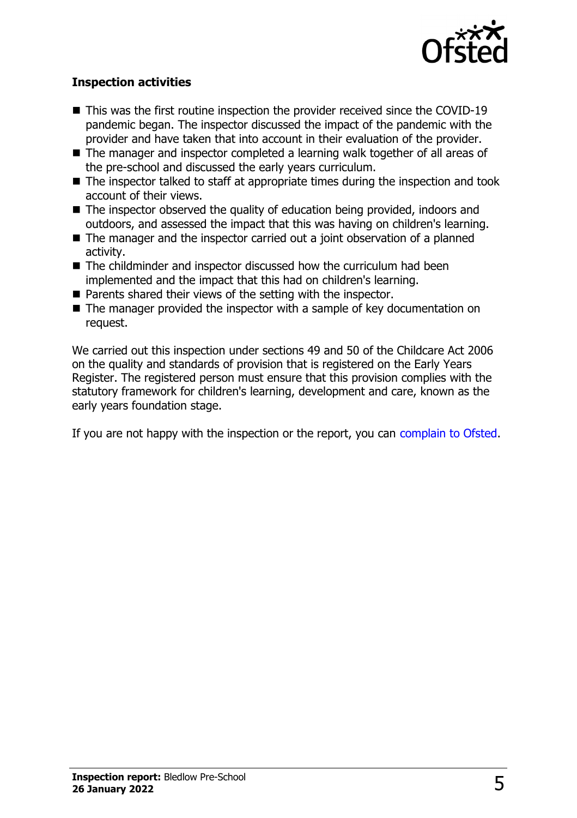

#### **Inspection activities**

- $\blacksquare$  This was the first routine inspection the provider received since the COVID-19 pandemic began. The inspector discussed the impact of the pandemic with the provider and have taken that into account in their evaluation of the provider.
- $\blacksquare$  The manager and inspector completed a learning walk together of all areas of the pre-school and discussed the early years curriculum.
- $\blacksquare$  The inspector talked to staff at appropriate times during the inspection and took account of their views.
- $\blacksquare$  The inspector observed the quality of education being provided, indoors and outdoors, and assessed the impact that this was having on children's learning.
- $\blacksquare$  The manager and the inspector carried out a joint observation of a planned activity.
- $\blacksquare$  The childminder and inspector discussed how the curriculum had been implemented and the impact that this had on children's learning.
- Parents shared their views of the setting with the inspector.
- The manager provided the inspector with a sample of key documentation on request.

We carried out this inspection under sections 49 and 50 of the Childcare Act 2006 on the quality and standards of provision that is registered on the Early Years Register. The registered person must ensure that this provision complies with the statutory framework for children's learning, development and care, known as the early years foundation stage.

If you are not happy with the inspection or the report, you can complain to Ofsted.